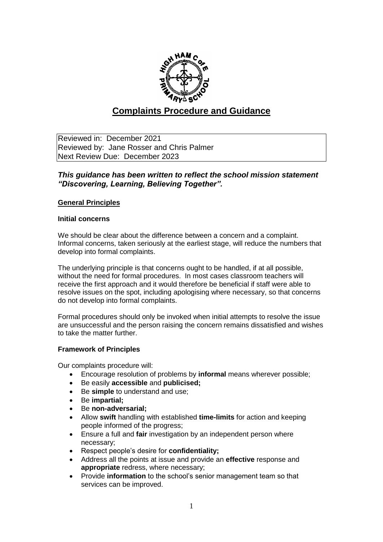

# **Complaints Procedure and Guidance**

Reviewed in: December 2021 Reviewed by: Jane Rosser and Chris Palmer Next Review Due: December 2023

## *This guidance has been written to reflect the school mission statement "Discovering, Learning, Believing Together".*

## **General Principles**

#### **Initial concerns**

We should be clear about the difference between a concern and a complaint. Informal concerns, taken seriously at the earliest stage, will reduce the numbers that develop into formal complaints.

The underlying principle is that concerns ought to be handled, if at all possible, without the need for formal procedures. In most cases classroom teachers will receive the first approach and it would therefore be beneficial if staff were able to resolve issues on the spot, including apologising where necessary, so that concerns do not develop into formal complaints.

Formal procedures should only be invoked when initial attempts to resolve the issue are unsuccessful and the person raising the concern remains dissatisfied and wishes to take the matter further.

## **Framework of Principles**

Our complaints procedure will:

- Encourage resolution of problems by **informal** means wherever possible;
- Be easily **accessible** and **publicised;**
- Be **simple** to understand and use;
- Be **impartial;**
- Be **non-adversarial;**
- Allow **swift** handling with established **time-limits** for action and keeping people informed of the progress;
- Ensure a full and **fair** investigation by an independent person where necessary;
- Respect people's desire for **confidentiality;**
- Address all the points at issue and provide an **effective** response and **appropriate** redress, where necessary;
- Provide **information** to the school's senior management team so that services can be improved.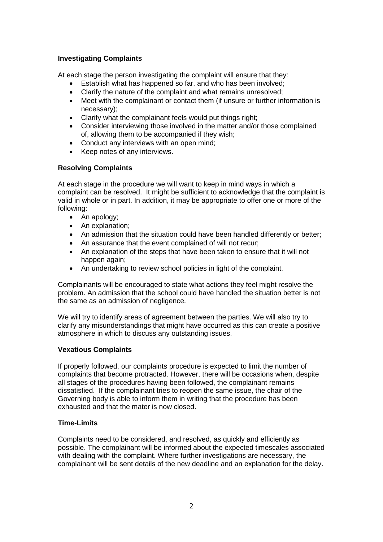## **Investigating Complaints**

At each stage the person investigating the complaint will ensure that they:

- Establish what has happened so far, and who has been involved;
- Clarify the nature of the complaint and what remains unresolved;
- Meet with the complainant or contact them (if unsure or further information is necessary);
- Clarify what the complainant feels would put things right;
- Consider interviewing those involved in the matter and/or those complained of, allowing them to be accompanied if they wish;
- Conduct any interviews with an open mind;
- Keep notes of any interviews.

## **Resolving Complaints**

At each stage in the procedure we will want to keep in mind ways in which a complaint can be resolved. It might be sufficient to acknowledge that the complaint is valid in whole or in part. In addition, it may be appropriate to offer one or more of the following:

- An apology;
- An explanation:
- An admission that the situation could have been handled differently or better;
- An assurance that the event complained of will not recur;
- An explanation of the steps that have been taken to ensure that it will not happen again;
- An undertaking to review school policies in light of the complaint.

Complainants will be encouraged to state what actions they feel might resolve the problem. An admission that the school could have handled the situation better is not the same as an admission of negligence.

We will try to identify areas of agreement between the parties. We will also try to clarify any misunderstandings that might have occurred as this can create a positive atmosphere in which to discuss any outstanding issues.

## **Vexatious Complaints**

If properly followed, our complaints procedure is expected to limit the number of complaints that become protracted. However, there will be occasions when, despite all stages of the procedures having been followed, the complainant remains dissatisfied. If the complainant tries to reopen the same issue, the chair of the Governing body is able to inform them in writing that the procedure has been exhausted and that the mater is now closed.

## **Time-Limits**

Complaints need to be considered, and resolved, as quickly and efficiently as possible. The complainant will be informed about the expected timescales associated with dealing with the complaint. Where further investigations are necessary, the complainant will be sent details of the new deadline and an explanation for the delay.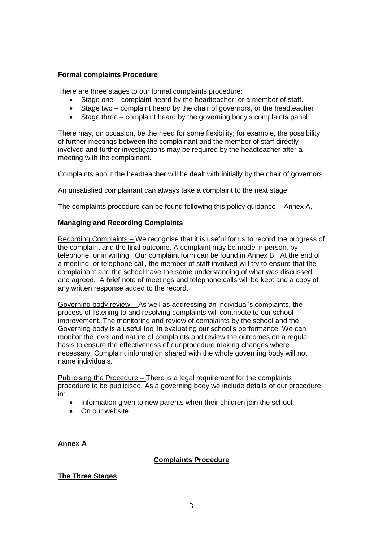## **Formal complaints Procedure**

There are three stages to our formal complaints procedure:

- Stage one complaint heard by the headteacher, or a member of staff.
- Stage two complaint heard by the chair of governors, or the headteacher
- Stage three complaint heard by the governing body's complaints panel

There may, on occasion, be the need for some flexibility; for example, the possibility of further meetings between the complainant and the member of staff directly involved and further investigations may be required by the headteacher after a meeting with the complainant.

Complaints about the headteacher will be dealt with initially by the chair of governors.

An unsatisfied complainant can always take a complaint to the next stage.

The complaints procedure can be found following this policy guidance – Annex A.

#### **Managing and Recording Complaints**

Recording Complaints – We recognise that it is useful for us to record the progress of the complaint and the final outcome. A complaint may be made in person, by telephone, or in writing. Our complaint form can be found in Annex B. At the end of a meeting, or telephone call, the member of staff involved will try to ensure that the complainant and the school have the same understanding of what was discussed and agreed. A brief note of meetings and telephone calls will be kept and a copy of any written response added to the record.

Governing body review – As well as addressing an individual's complaints, the process of listening to and resolving complaints will contribute to our school improvement. The monitoring and review of complaints by the school and the Governing body is a useful tool in evaluating our school's performance. We can monitor the level and nature of complaints and review the outcomes on a regular basis to ensure the effectiveness of our procedure making changes where necessary. Complaint information shared with the whole governing body will not name individuals.

Publicising the Procedure – There is a legal requirement for the complaints procedure to be publicised. As a governing body we include details of our procedure in:

- Information given to new parents when their children join the school;
- On our website

**Annex A**

## **Complaints Procedure**

## **The Three Stages**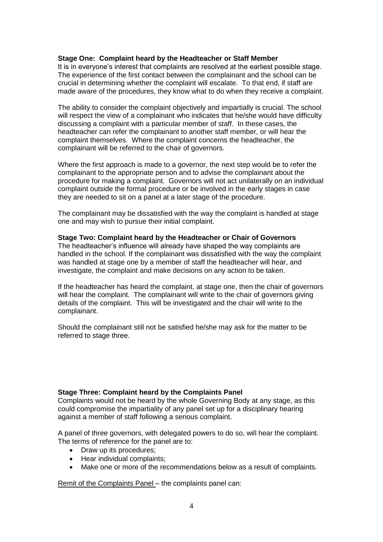#### **Stage One: Complaint heard by the Headteacher or Staff Member**

It is in everyone's interest that complaints are resolved at the earliest possible stage. The experience of the first contact between the complainant and the school can be crucial in determining whether the complaint will escalate. To that end, if staff are made aware of the procedures, they know what to do when they receive a complaint.

The ability to consider the complaint objectively and impartially is crucial. The school will respect the view of a complainant who indicates that he/she would have difficulty discussing a complaint with a particular member of staff. In these cases, the headteacher can refer the complainant to another staff member, or will hear the complaint themselves. Where the complaint concerns the headteacher, the complainant will be referred to the chair of governors.

Where the first approach is made to a governor, the next step would be to refer the complainant to the appropriate person and to advise the complainant about the procedure for making a complaint. Governors will not act unilaterally on an individual complaint outside the formal procedure or be involved in the early stages in case they are needed to sit on a panel at a later stage of the procedure.

The complainant may be dissatisfied with the way the complaint is handled at stage one and may wish to pursue their initial complaint.

#### **Stage Two: Complaint heard by the Headteacher or Chair of Governors**

The headteacher's influence will already have shaped the way complaints are handled in the school. If the complainant was dissatisfied with the way the complaint was handled at stage one by a member of staff the headteacher will hear, and investigate, the complaint and make decisions on any action to be taken.

If the headteacher has heard the complaint, at stage one, then the chair of governors will hear the complaint. The complainant will write to the chair of governors giving details of the complaint. This will be investigated and the chair will write to the complainant.

Should the complainant still not be satisfied he/she may ask for the matter to be referred to stage three.

#### **Stage Three: Complaint heard by the Complaints Panel**

Complaints would not be heard by the whole Governing Body at any stage, as this could compromise the impartiality of any panel set up for a disciplinary hearing against a member of staff following a serious complaint.

A panel of three governors, with delegated powers to do so, will hear the complaint. The terms of reference for the panel are to:

- Draw up its procedures:
- Hear individual complaints:
- Make one or more of the recommendations below as a result of complaints.

Remit of the Complaints Panel – the complaints panel can: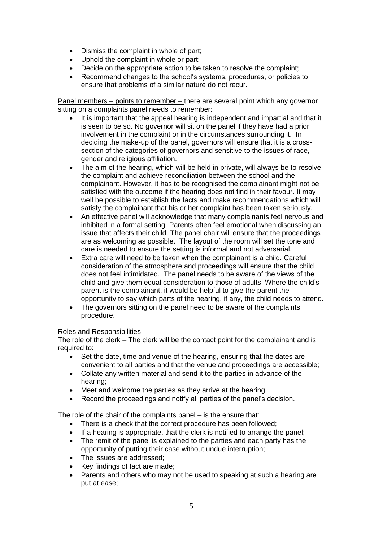- Dismiss the complaint in whole of part;
- Uphold the complaint in whole or part;
- Decide on the appropriate action to be taken to resolve the complaint;
- Recommend changes to the school's systems, procedures, or policies to ensure that problems of a similar nature do not recur.

Panel members – points to remember – there are several point which any governor sitting on a complaints panel needs to remember:

- It is important that the appeal hearing is independent and impartial and that it is seen to be so. No governor will sit on the panel if they have had a prior involvement in the complaint or in the circumstances surrounding it. In deciding the make-up of the panel, governors will ensure that it is a crosssection of the categories of governors and sensitive to the issues of race, gender and religious affiliation.
- The aim of the hearing, which will be held in private, will always be to resolve the complaint and achieve reconciliation between the school and the complainant. However, it has to be recognised the complainant might not be satisfied with the outcome if the hearing does not find in their favour. It may well be possible to establish the facts and make recommendations which will satisfy the complainant that his or her complaint has been taken seriously.
- An effective panel will acknowledge that many complainants feel nervous and inhibited in a formal setting. Parents often feel emotional when discussing an issue that affects their child. The panel chair will ensure that the proceedings are as welcoming as possible. The layout of the room will set the tone and care is needed to ensure the setting is informal and not adversarial.
- Extra care will need to be taken when the complainant is a child. Careful consideration of the atmosphere and proceedings will ensure that the child does not feel intimidated. The panel needs to be aware of the views of the child and give them equal consideration to those of adults. Where the child's parent is the complainant, it would be helpful to give the parent the opportunity to say which parts of the hearing, if any, the child needs to attend.
- The governors sitting on the panel need to be aware of the complaints procedure.

## Roles and Responsibilities –

The role of the clerk – The clerk will be the contact point for the complainant and is required to:

- Set the date, time and venue of the hearing, ensuring that the dates are convenient to all parties and that the venue and proceedings are accessible;
- Collate any written material and send it to the parties in advance of the hearing;
- Meet and welcome the parties as they arrive at the hearing;
- Record the proceedings and notify all parties of the panel's decision.

The role of the chair of the complaints panel – is the ensure that:

- There is a check that the correct procedure has been followed;
- If a hearing is appropriate, that the clerk is notified to arrange the panel;
- The remit of the panel is explained to the parties and each party has the opportunity of putting their case without undue interruption;
- The issues are addressed;
- Key findings of fact are made;
- Parents and others who may not be used to speaking at such a hearing are put at ease;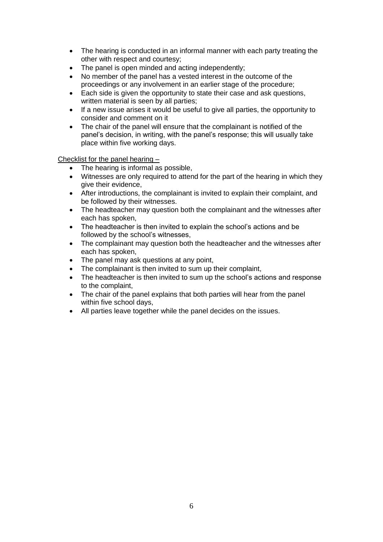- The hearing is conducted in an informal manner with each party treating the other with respect and courtesy;
- The panel is open minded and acting independently:
- No member of the panel has a vested interest in the outcome of the proceedings or any involvement in an earlier stage of the procedure;
- Each side is given the opportunity to state their case and ask questions, written material is seen by all parties;
- If a new issue arises it would be useful to give all parties, the opportunity to consider and comment on it
- The chair of the panel will ensure that the complainant is notified of the panel's decision, in writing, with the panel's response; this will usually take place within five working days.

Checklist for the panel hearing –

- The hearing is informal as possible,
- Witnesses are only required to attend for the part of the hearing in which they give their evidence,
- After introductions, the complainant is invited to explain their complaint, and be followed by their witnesses.
- The headteacher may question both the complainant and the witnesses after each has spoken,
- The headteacher is then invited to explain the school's actions and be followed by the school's witnesses,
- The complainant may question both the headteacher and the witnesses after each has spoken,
- The panel may ask questions at any point,
- The complainant is then invited to sum up their complaint,
- The headteacher is then invited to sum up the school's actions and response to the complaint,
- The chair of the panel explains that both parties will hear from the panel within five school days,
- All parties leave together while the panel decides on the issues.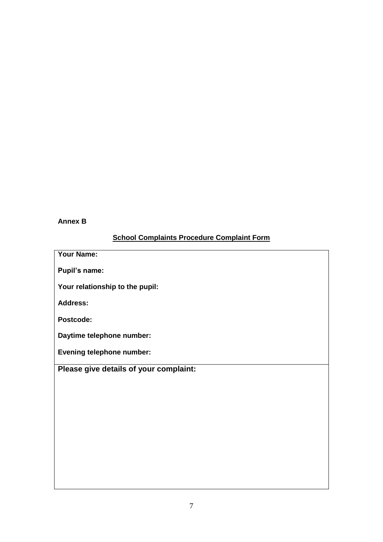## **Annex B**

# **School Complaints Procedure Complaint Form**

| <b>Your Name:</b>                      |
|----------------------------------------|
| Pupil's name:                          |
| Your relationship to the pupil:        |
| <b>Address:</b>                        |
| Postcode:                              |
| Daytime telephone number:              |
| <b>Evening telephone number:</b>       |
|                                        |
| Please give details of your complaint: |
|                                        |
|                                        |
|                                        |
|                                        |
|                                        |
|                                        |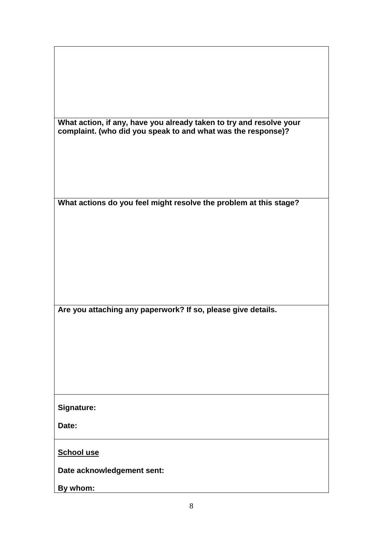| What action, if any, have you already taken to try and resolve your<br>complaint. (who did you speak to and what was the response)? |
|-------------------------------------------------------------------------------------------------------------------------------------|
|                                                                                                                                     |
|                                                                                                                                     |
|                                                                                                                                     |
|                                                                                                                                     |
| What actions do you feel might resolve the problem at this stage?                                                                   |
|                                                                                                                                     |
|                                                                                                                                     |
|                                                                                                                                     |
|                                                                                                                                     |
|                                                                                                                                     |
|                                                                                                                                     |
| Are you attaching any paperwork? If so, please give details.                                                                        |
|                                                                                                                                     |
|                                                                                                                                     |
|                                                                                                                                     |
|                                                                                                                                     |
|                                                                                                                                     |
| Signature:                                                                                                                          |
| Date:                                                                                                                               |
| <b>School use</b>                                                                                                                   |
| Date acknowledgement sent:                                                                                                          |
| By whom:                                                                                                                            |